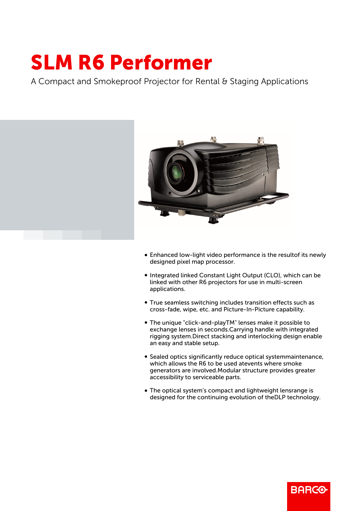## SLM R6 Performer

A Compact and Smokeproof Projector for Rental & Staging Applications



- Enhanced low-light video performance is the resultof its newly designed pixel map processor.
- Integrated linked Constant Light Output (CLO), which can be linked with other R6 projectors for use in multi-screen applications.
- True seamless switching includes transition effects such as cross-fade, wipe, etc. and Picture-In-Picture capability.
- b The unique "click-and-playTM" lenses make it possible to exchange lenses in seconds.Carrying handle with integrated rigging system.Direct stacking and interlocking design enable an easy and stable setup.
- **Sealed optics significantly reduce optical systemmaintenance,** which allows the R6 to be used atevents where smoke generators are involved.Modular structure provides greater accessibility to serviceable parts.
- The optical system's compact and lightweight lensrange is designed for the continuing evolution of theDLP technology.

**BARGO**